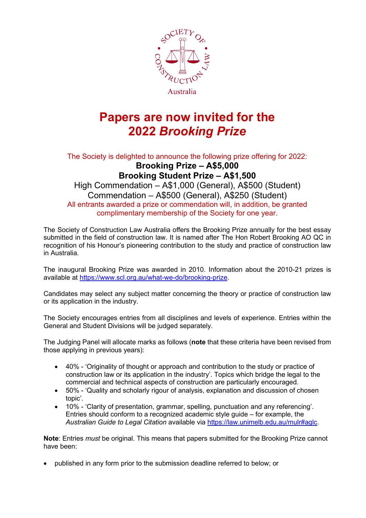

## **Papers are now invited for the 2022** *Brooking Prize*

The Society is delighted to announce the following prize offering for 2022: **Brooking Prize – A\$5,000 Brooking Student Prize – A\$1,500**

High Commendation – A\$1,000 (General), A\$500 (Student) Commendation – A\$500 (General), A\$250 (Student) All entrants awarded a prize or commendation will, in addition, be granted complimentary membership of the Society for one year.

The Society of Construction Law Australia offers the Brooking Prize annually for the best essay submitted in the field of construction law. It is named after The Hon Robert Brooking AO QC in recognition of his Honour's pioneering contribution to the study and practice of construction law in Australia.

The inaugural Brooking Prize was awarded in 2010. Information about the 2010-21 prizes is available at https://www.scl.org.au/what-we-do/brooking-prize.

Candidates may select any subject matter concerning the theory or practice of construction law or its application in the industry.

The Society encourages entries from all disciplines and levels of experience. Entries within the General and Student Divisions will be judged separately.

The Judging Panel will allocate marks as follows (**note** that these criteria have been revised from those applying in previous years):

- 40% 'Originality of thought or approach and contribution to the study or practice of construction law or its application in the industry'. Topics which bridge the legal to the commercial and technical aspects of construction are particularly encouraged.
- 50% 'Quality and scholarly rigour of analysis, explanation and discussion of chosen topic'.
- 10% 'Clarity of presentation, grammar, spelling, punctuation and any referencing'. Entries should conform to a recognized academic style guide – for example, the *Australian Guide to Legal Citation* available via https://law.unimelb.edu.au/mulr#aglc.

**Note**: Entries *must* be original. This means that papers submitted for the Brooking Prize cannot have been:

• published in any form prior to the submission deadline referred to below; or